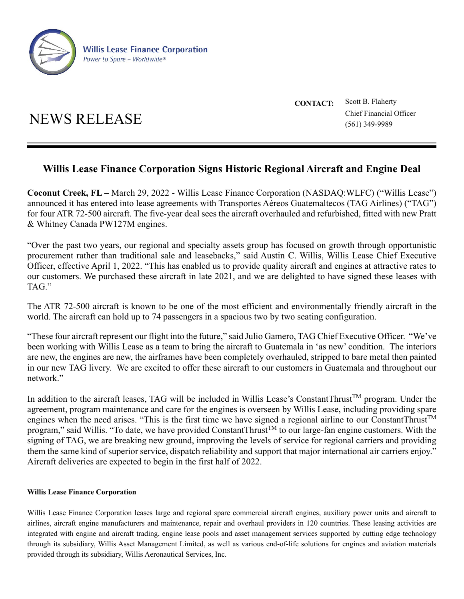

**CONTACT:** Scott B. Flaherty NEWS RELEASE Chief Financial Officer (561) 349-9989

## **Willis Lease Finance Corporation Signs Historic Regional Aircraft and Engine Deal**

**Coconut Creek, FL –** March 29, 2022 - Willis Lease Finance Corporation (NASDAQ:WLFC) ("Willis Lease") announced it has entered into lease agreements with Transportes Aéreos Guatemaltecos (TAG Airlines) ("TAG") for four ATR 72-500 aircraft. The five-year deal sees the aircraft overhauled and refurbished, fitted with new Pratt & Whitney Canada PW127M engines.

"Over the past two years, our regional and specialty assets group has focused on growth through opportunistic procurement rather than traditional sale and leasebacks," said Austin C. Willis, Willis Lease Chief Executive Officer, effective April 1, 2022. "This has enabled us to provide quality aircraft and engines at attractive rates to our customers. We purchased these aircraft in late 2021, and we are delighted to have signed these leases with TAG."

The ATR 72-500 aircraft is known to be one of the most efficient and environmentally friendly aircraft in the world. The aircraft can hold up to 74 passengers in a spacious two by two seating configuration.

"These four aircraft represent our flight into the future," said Julio Gamero, TAG Chief Executive Officer. "We've been working with Willis Lease as a team to bring the aircraft to Guatemala in 'as new' condition. The interiors are new, the engines are new, the airframes have been completely overhauled, stripped to bare metal then painted in our new TAG livery. We are excited to offer these aircraft to our customers in Guatemala and throughout our network."

In addition to the aircraft leases, TAG will be included in Willis Lease's ConstantThrust<sup>TM</sup> program. Under the agreement, program maintenance and care for the engines is overseen by Willis Lease, including providing spare engines when the need arises. "This is the first time we have signed a regional airline to our ConstantThrust<sup>TM</sup> program," said Willis. "To date, we have provided ConstantThrust<sup>TM</sup> to our large-fan engine customers. With the signing of TAG, we are breaking new ground, improving the levels of service for regional carriers and providing them the same kind of superior service, dispatch reliability and support that major international air carriers enjoy." Aircraft deliveries are expected to begin in the first half of 2022.

## **Willis Lease Finance Corporation**

Willis Lease Finance Corporation leases large and regional spare commercial aircraft engines, auxiliary power units and aircraft to airlines, aircraft engine manufacturers and maintenance, repair and overhaul providers in 120 countries. These leasing activities are integrated with engine and aircraft trading, engine lease pools and asset management services supported by cutting edge technology through its subsidiary, Willis Asset Management Limited, as well as various end-of-life solutions for engines and aviation materials provided through its subsidiary, Willis Aeronautical Services, Inc.